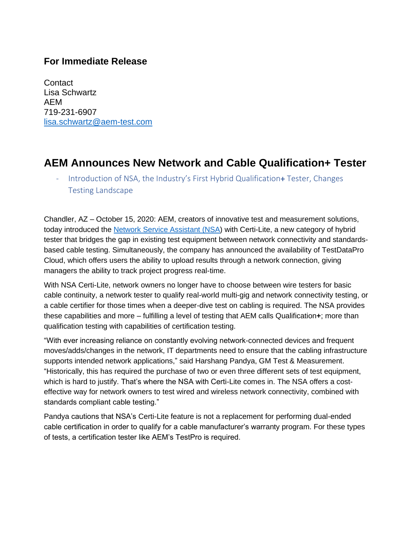## **For Immediate Release**

**Contact** Lisa Schwartz AEM 719-231-6907 [lisa.schwartz@aem-test.com](mailto:lisa.schwartz@aem-test.com)

## **AEM Announces New Network and Cable Qualification+ Tester**

- Introduction of NSA, the Industry's First Hybrid Qualification+ Tester, Changes Testing Landscape

Chandler, AZ – October 15, 2020: AEM, creators of innovative test and measurement solutions, today introduced the [Network Service Assistant](http://www.aem-test.com/nsa) (NSA) with Certi-Lite, a new category of hybrid tester that bridges the gap in existing test equipment between network connectivity and standardsbased cable testing. Simultaneously, the company has announced the availability of TestDataPro Cloud, which offers users the ability to upload results through a network connection, giving managers the ability to track project progress real-time.

With NSA Certi-Lite, network owners no longer have to choose between wire testers for basic cable continuity, a network tester to qualify real-world multi-gig and network connectivity testing, or a cable certifier for those times when a deeper-dive test on cabling is required. The NSA provides these capabilities and more – fulfilling a level of testing that AEM calls Qualification**+**; more than qualification testing with capabilities of certification testing.

"With ever increasing reliance on constantly evolving network-connected devices and frequent moves/adds/changes in the network, IT departments need to ensure that the cabling infrastructure supports intended network applications," said Harshang Pandya, GM Test & Measurement. "Historically, this has required the purchase of two or even three different sets of test equipment, which is hard to justify. That's where the NSA with Certi-Lite comes in. The NSA offers a costeffective way for network owners to test wired and wireless network connectivity, combined with standards compliant cable testing."

Pandya cautions that NSA's Certi-Lite feature is not a replacement for performing dual-ended cable certification in order to qualify for a cable manufacturer's warranty program. For these types of tests, a certification tester like AEM's TestPro is required.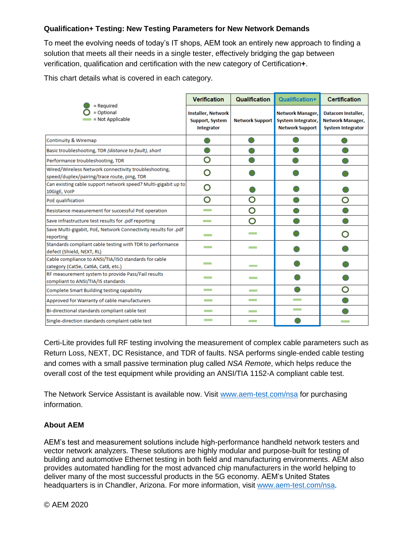## **Qualification+ Testing: New Testing Parameters for New Network Demands**

To meet the evolving needs of today's IT shops, AEM took an entirely new approach to finding a solution that meets all their needs in a single tester, effectively bridging the gap between verification, qualification and certification with the new category of Certification**+**.

This chart details what is covered in each category.

| <b>Verification</b>                                               | Qualification                                                 | Qualification+                                                                 | <b>Certification</b>                                               |
|-------------------------------------------------------------------|---------------------------------------------------------------|--------------------------------------------------------------------------------|--------------------------------------------------------------------|
| <b>Installer, Network</b><br><b>Support, System</b><br>Integrator |                                                               | <b>Network Manager,</b><br><b>System Integrator,</b><br><b>Network Support</b> | Datacom Installer,<br>Network Manager,<br><b>System Integrator</b> |
|                                                                   |                                                               |                                                                                |                                                                    |
|                                                                   |                                                               |                                                                                |                                                                    |
| O                                                                 |                                                               |                                                                                |                                                                    |
| O                                                                 |                                                               |                                                                                |                                                                    |
| ∩                                                                 |                                                               |                                                                                |                                                                    |
| O                                                                 | O                                                             |                                                                                | റ                                                                  |
| <b>The Contract</b>                                               | O                                                             |                                                                                |                                                                    |
| <b>Contract</b>                                                   | O                                                             |                                                                                |                                                                    |
|                                                                   | <b>Contract</b>                                               |                                                                                |                                                                    |
|                                                                   |                                                               |                                                                                |                                                                    |
| <b>The Company</b>                                                |                                                               |                                                                                |                                                                    |
| <b>The Company</b>                                                |                                                               |                                                                                |                                                                    |
| <b>Contract</b>                                                   | <b>Contract</b>                                               |                                                                                |                                                                    |
| <b>The College</b>                                                | <b>Contract</b>                                               |                                                                                |                                                                    |
| <b>Contract</b>                                                   | <b>Contract</b>                                               | <b>Contract</b>                                                                |                                                                    |
| <b>The Contract</b>                                               | <b>The Contract</b>                                           |                                                                                |                                                                    |
| Save Multi-gigabit, PoE, Network Connectivity results for .pdf    | Can existing cable support network speed? Multi-gigabit up to |                                                                                | <b>Network Support</b>                                             |

Certi-Lite provides full RF testing involving the measurement of complex cable parameters such as Return Loss, NEXT, DC Resistance, and TDR of faults. NSA performs single-ended cable testing and comes with a small passive termination plug called *NSA Remote*, which helps reduce the overall cost of the test equipment while providing an ANSI/TIA 1152-A compliant cable test.

The Network Service Assistant is available now. Visit [www.aem-test.com/](http://www.aem-test.com/)nsa for purchasing information.

## **About AEM**

AEM's test and measurement solutions include high-performance handheld network testers and vector network analyzers. These solutions are highly modular and purpose-built for testing of building and automotive Ethernet testing in both field and manufacturing environments. AEM also provides automated handling for the most advanced chip manufacturers in the world helping to deliver many of the most successful products in the 5G economy. AEM's United States headquarters is in Chandler, Arizona. For more information, visit [www.aem-test.com/](http://www.aem-test.com/)nsa.